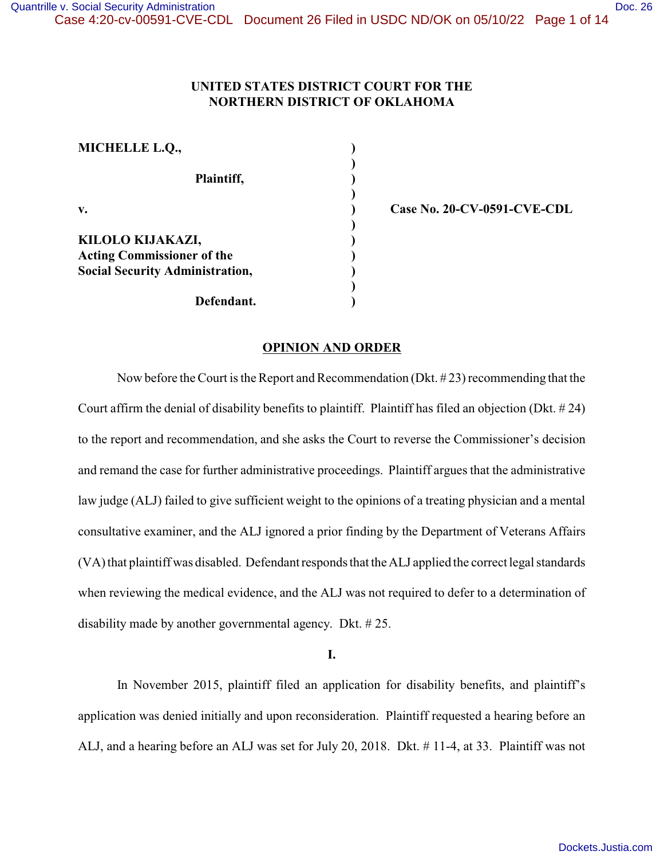## **UNITED STATES DISTRICT COURT FOR THE NORTHERN DISTRICT OF OKLAHOMA**

| <b>MICHELLE L.Q.,</b>                                                                           |  |
|-------------------------------------------------------------------------------------------------|--|
| Plaintiff,                                                                                      |  |
| V.                                                                                              |  |
| KILOLO KIJAKAZI,<br><b>Acting Commissioner of the</b><br><b>Social Security Administration,</b> |  |
| Defendant.                                                                                      |  |

**v. ) Case No. 20-CV-0591-CVE-CDL**

## **OPINION AND ORDER**

Now before the Court is the Report and Recommendation (Dkt. # 23) recommending that the Court affirm the denial of disability benefits to plaintiff. Plaintiff has filed an objection (Dkt. # 24) to the report and recommendation, and she asks the Court to reverse the Commissioner's decision and remand the case for further administrative proceedings. Plaintiff argues that the administrative law judge (ALJ) failed to give sufficient weight to the opinions of a treating physician and a mental consultative examiner, and the ALJ ignored a prior finding by the Department of Veterans Affairs (VA) that plaintiff was disabled. Defendant responds that the ALJ applied the correct legal standards when reviewing the medical evidence, and the ALJ was not required to defer to a determination of disability made by another governmental agency. Dkt. # 25.

**I.**

In November 2015, plaintiff filed an application for disability benefits, and plaintiff's application was denied initially and upon reconsideration. Plaintiff requested a hearing before an ALJ, and a hearing before an ALJ was set for July 20, 2018. Dkt. # 11-4, at 33. Plaintiff was not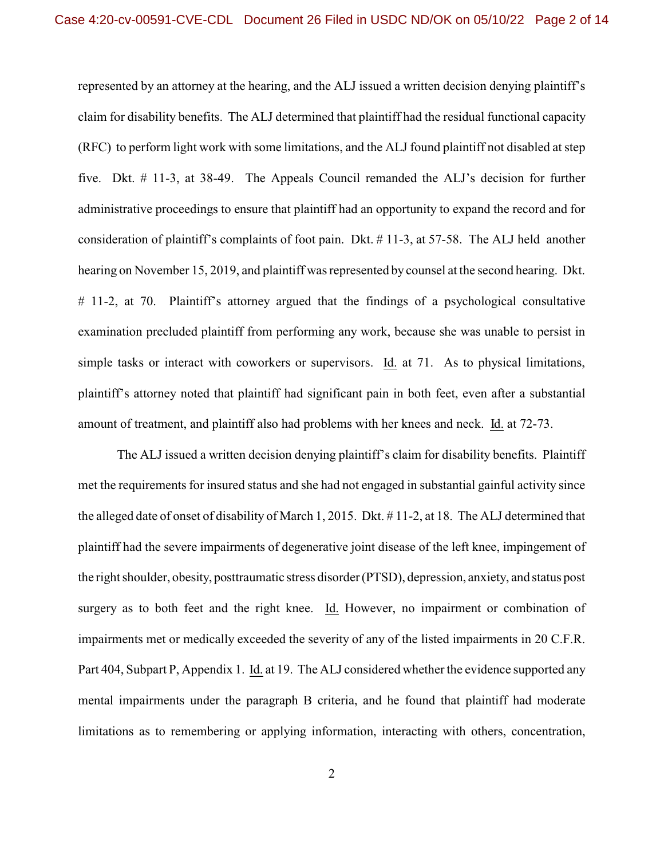represented by an attorney at the hearing, and the ALJ issued a written decision denying plaintiff's claim for disability benefits. The ALJ determined that plaintiff had the residual functional capacity (RFC) to perform light work with some limitations, and the ALJ found plaintiff not disabled at step five. Dkt. # 11-3, at 38-49. The Appeals Council remanded the ALJ's decision for further administrative proceedings to ensure that plaintiff had an opportunity to expand the record and for consideration of plaintiff's complaints of foot pain. Dkt. # 11-3, at 57-58. The ALJ held another hearing on November 15, 2019, and plaintiff was represented by counsel at the second hearing. Dkt. # 11-2, at 70. Plaintiff's attorney argued that the findings of a psychological consultative examination precluded plaintiff from performing any work, because she was unable to persist in simple tasks or interact with coworkers or supervisors. Id. at 71. As to physical limitations, plaintiff's attorney noted that plaintiff had significant pain in both feet, even after a substantial amount of treatment, and plaintiff also had problems with her knees and neck. Id. at 72-73.

The ALJ issued a written decision denying plaintiff's claim for disability benefits. Plaintiff met the requirements for insured status and she had not engaged in substantial gainful activity since the alleged date of onset of disability of March 1, 2015. Dkt. # 11-2, at 18. The ALJ determined that plaintiff had the severe impairments of degenerative joint disease of the left knee, impingement of the right shoulder, obesity, posttraumatic stress disorder (PTSD), depression, anxiety, and status post surgery as to both feet and the right knee. Id. However, no impairment or combination of impairments met or medically exceeded the severity of any of the listed impairments in 20 C.F.R. Part 404, Subpart P, Appendix 1. Id. at 19. The ALJ considered whether the evidence supported any mental impairments under the paragraph B criteria, and he found that plaintiff had moderate limitations as to remembering or applying information, interacting with others, concentration,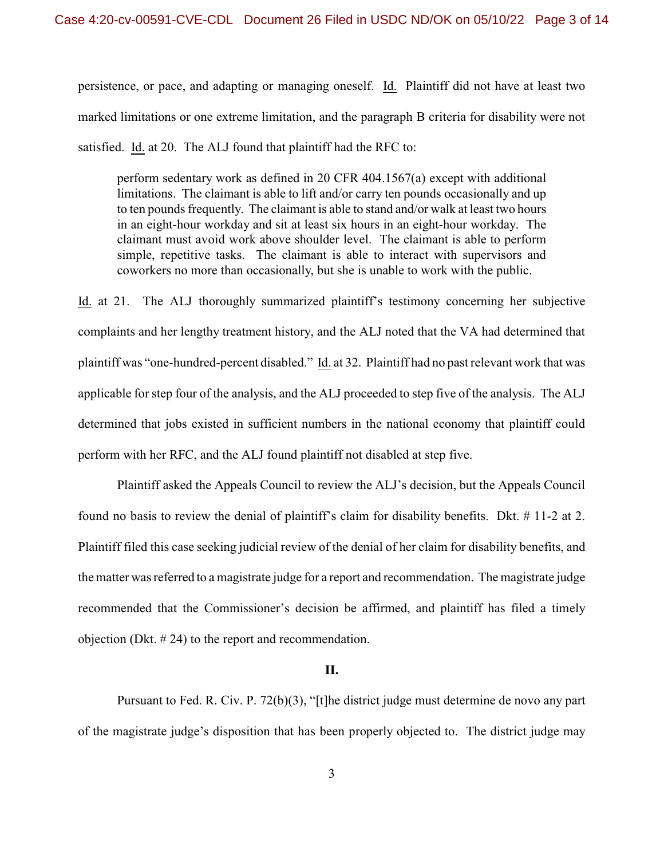persistence, or pace, and adapting or managing oneself. Id. Plaintiff did not have at least two marked limitations or one extreme limitation, and the paragraph B criteria for disability were not satisfied. Id. at 20. The ALJ found that plaintiff had the RFC to:

perform sedentary work as defined in 20 CFR 404.1567(a) except with additional limitations. The claimant is able to lift and/or carry ten pounds occasionally and up to ten pounds frequently. The claimant is able to stand and/or walk at least two hours in an eight-hour workday and sit at least six hours in an eight-hour workday. The claimant must avoid work above shoulder level. The claimant is able to perform simple, repetitive tasks. The claimant is able to interact with supervisors and coworkers no more than occasionally, but she is unable to work with the public.

Id. at 21. The ALJ thoroughly summarized plaintiff's testimony concerning her subjective complaints and her lengthy treatment history, and the ALJ noted that the VA had determined that plaintiff was "one-hundred-percent disabled." Id. at 32. Plaintiff had no past relevant work that was applicable for step four of the analysis, and the ALJ proceeded to step five of the analysis. The ALJ determined that jobs existed in sufficient numbers in the national economy that plaintiff could perform with her RFC, and the ALJ found plaintiff not disabled at step five.

Plaintiff asked the Appeals Council to review the ALJ's decision, but the Appeals Council found no basis to review the denial of plaintiff's claim for disability benefits. Dkt. # 11-2 at 2. Plaintiff filed this case seeking judicial review of the denial of her claim for disability benefits, and the matter was referred to a magistrate judge for a report and recommendation. The magistrate judge recommended that the Commissioner's decision be affirmed, and plaintiff has filed a timely objection (Dkt. # 24) to the report and recommendation.

## **II.**

Pursuant to Fed. R. Civ. P. 72(b)(3), "[t]he district judge must determine de novo any part of the magistrate judge's disposition that has been properly objected to. The district judge may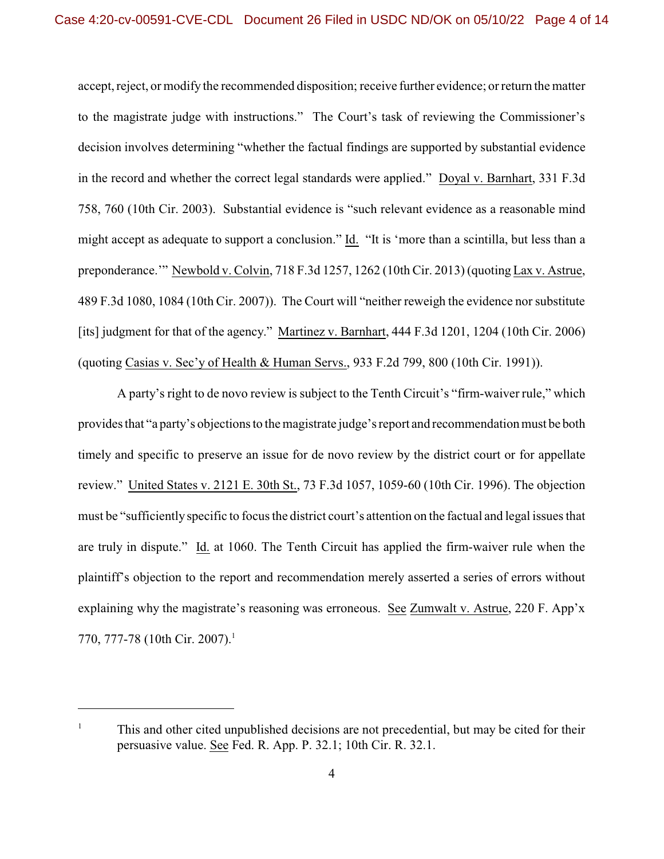accept, reject, or modify the recommended disposition; receive further evidence; or return the matter to the magistrate judge with instructions." The Court's task of reviewing the Commissioner's decision involves determining "whether the factual findings are supported by substantial evidence in the record and whether the correct legal standards were applied." Doyal v. Barnhart, 331 F.3d 758, 760 (10th Cir. 2003). Substantial evidence is "such relevant evidence as a reasonable mind might accept as adequate to support a conclusion." Id. "It is 'more than a scintilla, but less than a preponderance.'" Newbold v. Colvin, 718 F.3d 1257, 1262 (10th Cir. 2013) (quoting Lax v. Astrue, 489 F.3d 1080, 1084 (10th Cir. 2007)). The Court will "neither reweigh the evidence nor substitute [its] judgment for that of the agency." Martinez v. Barnhart, 444 F.3d 1201, 1204 (10th Cir. 2006) (quoting Casias v. Sec'y of Health & Human Servs., 933 F.2d 799, 800 (10th Cir. 1991)).

A party's right to de novo review is subject to the Tenth Circuit's "firm-waiver rule," which provides that "a party's objections to the magistrate judge's report and recommendation must be both timely and specific to preserve an issue for de novo review by the district court or for appellate review." United States v. 2121 E. 30th St., 73 F.3d 1057, 1059-60 (10th Cir. 1996). The objection must be "sufficiently specific to focus the district court's attention on the factual and legal issues that are truly in dispute." Id. at 1060. The Tenth Circuit has applied the firm-waiver rule when the plaintiff's objection to the report and recommendation merely asserted a series of errors without explaining why the magistrate's reasoning was erroneous. See Zumwalt v. Astrue, 220 F. App'x 770, 777-78 (10th Cir. 2007).<sup>1</sup>

 $1$  This and other cited unpublished decisions are not precedential, but may be cited for their persuasive value. See Fed. R. App. P. 32.1; 10th Cir. R. 32.1.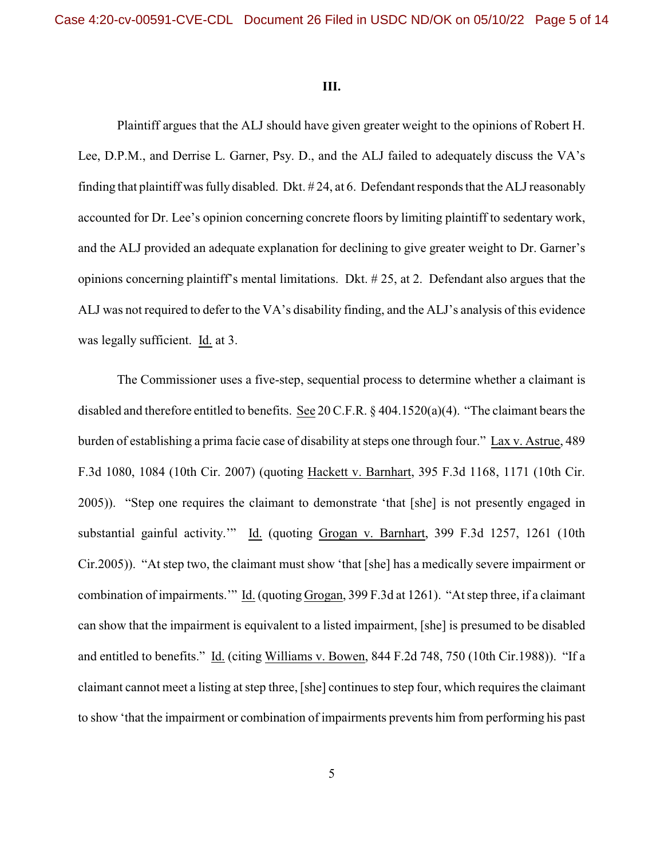#### **III.**

Plaintiff argues that the ALJ should have given greater weight to the opinions of Robert H. Lee, D.P.M., and Derrise L. Garner, Psy. D., and the ALJ failed to adequately discuss the VA's finding that plaintiff was fully disabled. Dkt. # 24, at 6. Defendant responds that the ALJ reasonably accounted for Dr. Lee's opinion concerning concrete floors by limiting plaintiff to sedentary work, and the ALJ provided an adequate explanation for declining to give greater weight to Dr. Garner's opinions concerning plaintiff's mental limitations. Dkt. # 25, at 2. Defendant also argues that the ALJ was not required to defer to the VA's disability finding, and the ALJ's analysis of this evidence was legally sufficient. Id. at 3.

The Commissioner uses a five-step, sequential process to determine whether a claimant is disabled and therefore entitled to benefits. See 20 C.F.R. § 404.1520(a)(4). "The claimant bears the burden of establishing a prima facie case of disability at steps one through four." Lax v. Astrue, 489 F.3d 1080, 1084 (10th Cir. 2007) (quoting Hackett v. Barnhart, 395 F.3d 1168, 1171 (10th Cir. 2005)). "Step one requires the claimant to demonstrate 'that [she] is not presently engaged in substantial gainful activity.'" Id. (quoting Grogan v. Barnhart, 399 F.3d 1257, 1261 (10th Cir.2005)). "At step two, the claimant must show 'that [she] has a medically severe impairment or combination of impairments.'" Id. (quoting Grogan, 399 F.3d at 1261). "At step three, if a claimant can show that the impairment is equivalent to a listed impairment, [she] is presumed to be disabled and entitled to benefits." Id. (citing Williams v. Bowen, 844 F.2d 748, 750 (10th Cir.1988)). "If a claimant cannot meet a listing at step three, [she] continues to step four, which requires the claimant to show 'that the impairment or combination of impairments prevents him from performing his past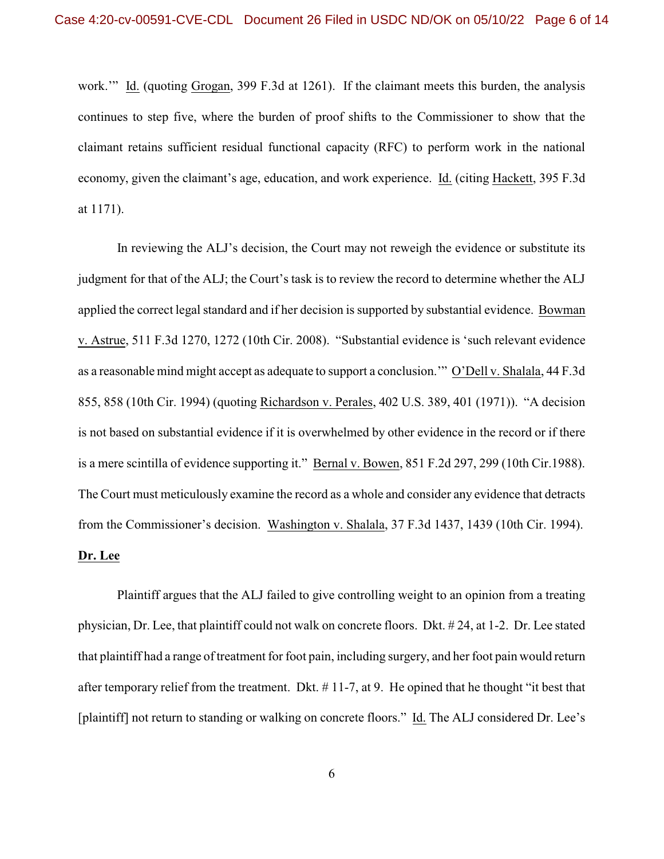work.'" Id. (quoting Grogan, 399 F.3d at 1261). If the claimant meets this burden, the analysis continues to step five, where the burden of proof shifts to the Commissioner to show that the claimant retains sufficient residual functional capacity (RFC) to perform work in the national economy, given the claimant's age, education, and work experience. Id. (citing Hackett, 395 F.3d at 1171).

In reviewing the ALJ's decision, the Court may not reweigh the evidence or substitute its judgment for that of the ALJ; the Court's task is to review the record to determine whether the ALJ applied the correct legal standard and if her decision is supported by substantial evidence. Bowman v. Astrue, 511 F.3d 1270, 1272 (10th Cir. 2008). "Substantial evidence is 'such relevant evidence as a reasonable mind might accept as adequate to support a conclusion.'" O'Dell v. Shalala, 44 F.3d 855, 858 (10th Cir. 1994) (quoting Richardson v. Perales, 402 U.S. 389, 401 (1971)). "A decision is not based on substantial evidence if it is overwhelmed by other evidence in the record or if there is a mere scintilla of evidence supporting it." Bernal v. Bowen, 851 F.2d 297, 299 (10th Cir.1988). The Court must meticulously examine the record as a whole and consider any evidence that detracts from the Commissioner's decision. Washington v. Shalala, 37 F.3d 1437, 1439 (10th Cir. 1994). **Dr. Lee**

Plaintiff argues that the ALJ failed to give controlling weight to an opinion from a treating physician, Dr. Lee, that plaintiff could not walk on concrete floors. Dkt. # 24, at 1-2. Dr. Lee stated that plaintiff had a range of treatment for foot pain, including surgery, and her foot pain would return after temporary relief from the treatment. Dkt. # 11-7, at 9. He opined that he thought "it best that [plaintiff] not return to standing or walking on concrete floors." Id. The ALJ considered Dr. Lee's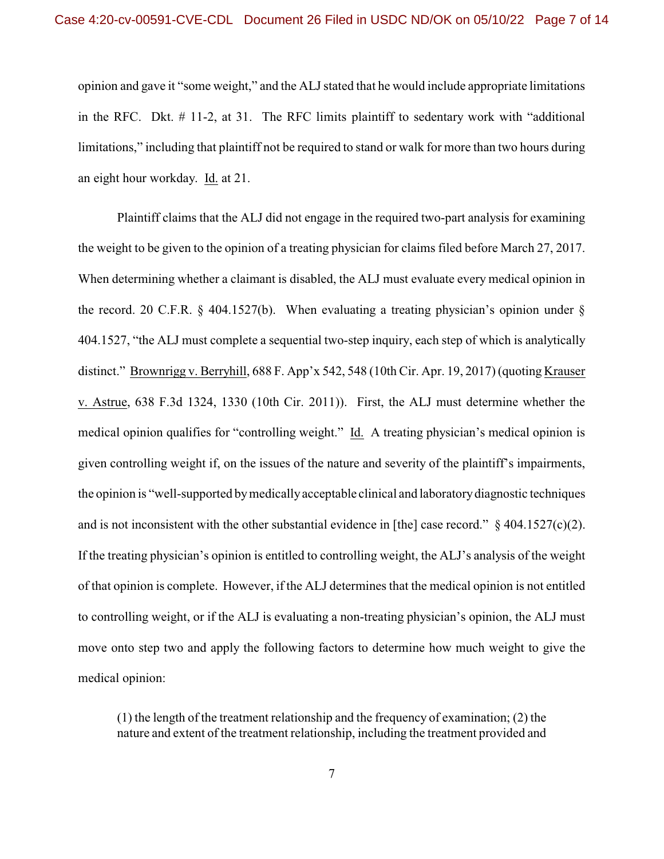opinion and gave it "some weight," and the ALJ stated that he would include appropriate limitations in the RFC. Dkt. # 11-2, at 31. The RFC limits plaintiff to sedentary work with "additional limitations," including that plaintiff not be required to stand or walk for more than two hours during an eight hour workday. Id. at 21.

Plaintiff claims that the ALJ did not engage in the required two-part analysis for examining the weight to be given to the opinion of a treating physician for claims filed before March 27, 2017. When determining whether a claimant is disabled, the ALJ must evaluate every medical opinion in the record. 20 C.F.R.  $\S$  404.1527(b). When evaluating a treating physician's opinion under  $\S$ 404.1527, "the ALJ must complete a sequential two-step inquiry, each step of which is analytically distinct." Brownrigg v. Berryhill, 688 F. App'x 542, 548 (10th Cir. Apr. 19, 2017) (quoting Krauser v. Astrue, 638 F.3d 1324, 1330 (10th Cir. 2011)). First, the ALJ must determine whether the medical opinion qualifies for "controlling weight." Id. A treating physician's medical opinion is given controlling weight if, on the issues of the nature and severity of the plaintiff's impairments, the opinion is "well-supported by medically acceptable clinical and laboratory diagnostic techniques and is not inconsistent with the other substantial evidence in [the] case record."  $\S$  404.1527(c)(2). If the treating physician's opinion is entitled to controlling weight, the ALJ's analysis of the weight of that opinion is complete. However, if the ALJ determines that the medical opinion is not entitled to controlling weight, or if the ALJ is evaluating a non-treating physician's opinion, the ALJ must move onto step two and apply the following factors to determine how much weight to give the medical opinion:

(1) the length of the treatment relationship and the frequency of examination; (2) the nature and extent of the treatment relationship, including the treatment provided and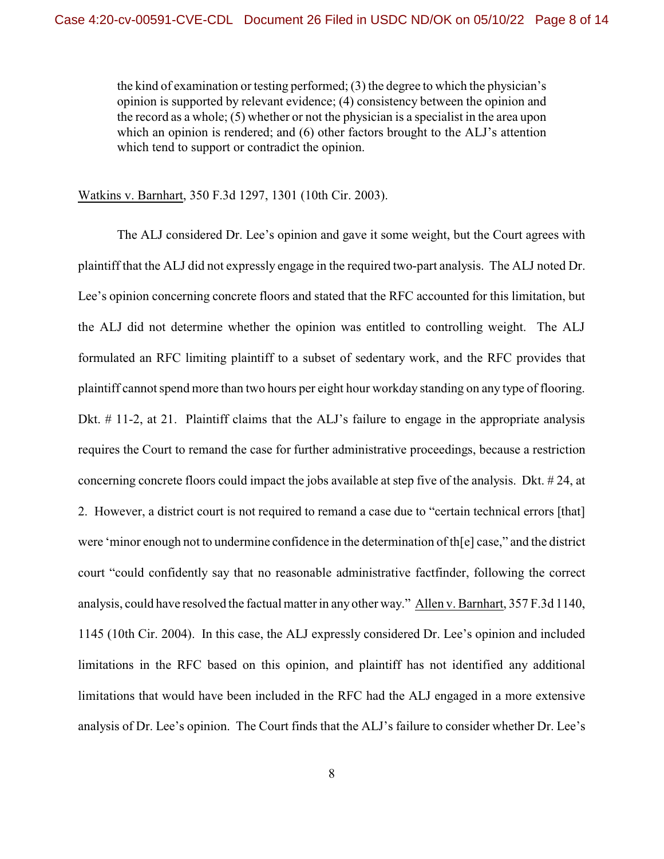the kind of examination or testing performed; (3) the degree to which the physician's opinion is supported by relevant evidence; (4) consistency between the opinion and the record as a whole; (5) whether or not the physician is a specialist in the area upon which an opinion is rendered; and (6) other factors brought to the ALJ's attention which tend to support or contradict the opinion.

Watkins v. Barnhart, 350 F.3d 1297, 1301 (10th Cir. 2003).

The ALJ considered Dr. Lee's opinion and gave it some weight, but the Court agrees with plaintiff that the ALJ did not expressly engage in the required two-part analysis. The ALJ noted Dr. Lee's opinion concerning concrete floors and stated that the RFC accounted for this limitation, but the ALJ did not determine whether the opinion was entitled to controlling weight. The ALJ formulated an RFC limiting plaintiff to a subset of sedentary work, and the RFC provides that plaintiff cannot spend more than two hours per eight hour workday standing on any type of flooring. Dkt. # 11-2, at 21. Plaintiff claims that the ALJ's failure to engage in the appropriate analysis requires the Court to remand the case for further administrative proceedings, because a restriction concerning concrete floors could impact the jobs available at step five of the analysis. Dkt. # 24, at 2. However, a district court is not required to remand a case due to "certain technical errors [that] were 'minor enough not to undermine confidence in the determination of th[e] case," and the district court "could confidently say that no reasonable administrative factfinder, following the correct analysis, could have resolved the factual matter in any other way." Allen v. Barnhart, 357 F.3d 1140, 1145 (10th Cir. 2004). In this case, the ALJ expressly considered Dr. Lee's opinion and included limitations in the RFC based on this opinion, and plaintiff has not identified any additional limitations that would have been included in the RFC had the ALJ engaged in a more extensive analysis of Dr. Lee's opinion. The Court finds that the ALJ's failure to consider whether Dr. Lee's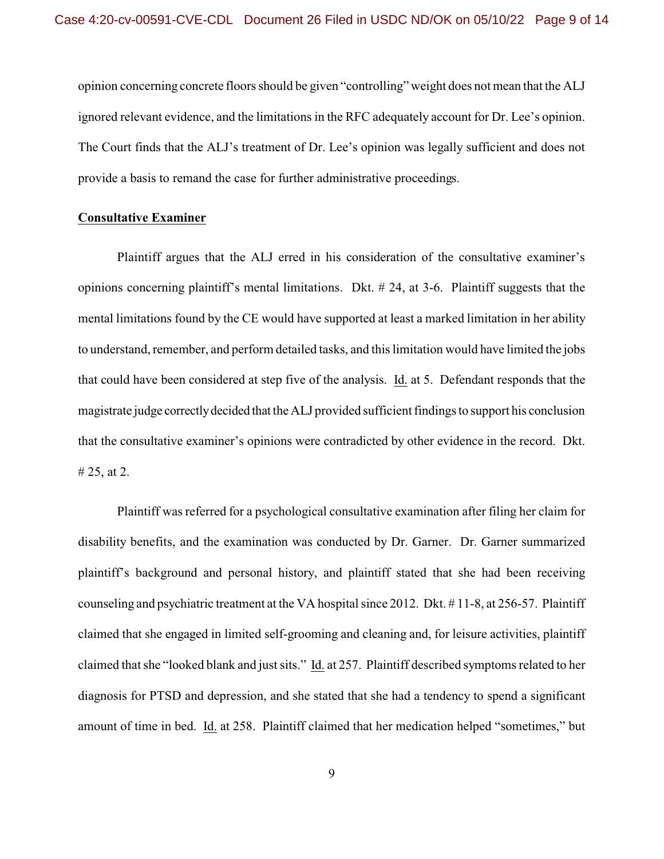opinion concerning concrete floors should be given "controlling" weight does not mean that the ALJ ignored relevant evidence, and the limitations in the RFC adequately account for Dr. Lee's opinion. The Court finds that the ALJ's treatment of Dr. Lee's opinion was legally sufficient and does not provide a basis to remand the case for further administrative proceedings.

#### **Consultative Examiner**

Plaintiff argues that the ALJ erred in his consideration of the consultative examiner's opinions concerning plaintiff's mental limitations. Dkt. # 24, at 3-6. Plaintiff suggests that the mental limitations found by the CE would have supported at least a marked limitation in her ability to understand, remember, and perform detailed tasks, and this limitation would have limited the jobs that could have been considered at step five of the analysis. Id. at 5. Defendant responds that the magistrate judge correctly decided that the ALJ provided sufficient findings to support his conclusion that the consultative examiner's opinions were contradicted by other evidence in the record. Dkt. # 25, at 2.

Plaintiff was referred for a psychological consultative examination after filing her claim for disability benefits, and the examination was conducted by Dr. Garner. Dr. Garner summarized plaintiff's background and personal history, and plaintiff stated that she had been receiving counseling and psychiatric treatment at the VA hospital since 2012. Dkt. # 11-8, at 256-57. Plaintiff claimed that she engaged in limited self-grooming and cleaning and, for leisure activities, plaintiff claimed that she "looked blank and just sits." Id. at 257. Plaintiff described symptoms related to her diagnosis for PTSD and depression, and she stated that she had a tendency to spend a significant amount of time in bed. Id. at 258. Plaintiff claimed that her medication helped "sometimes," but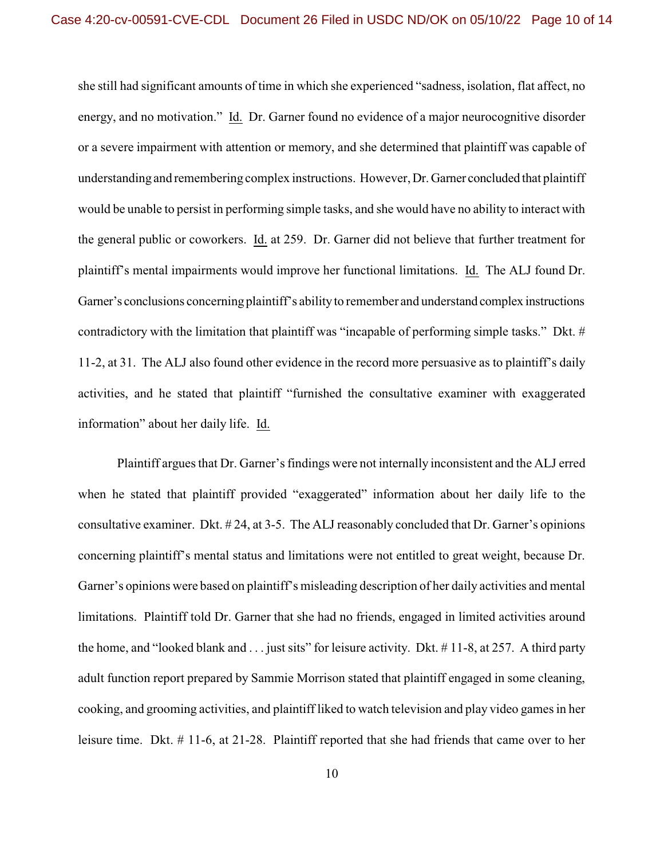she still had significant amounts of time in which she experienced "sadness, isolation, flat affect, no energy, and no motivation." Id. Dr. Garner found no evidence of a major neurocognitive disorder or a severe impairment with attention or memory, and she determined that plaintiff was capable of understanding and remembering complex instructions. However, Dr. Garner concluded that plaintiff would be unable to persist in performing simple tasks, and she would have no ability to interact with the general public or coworkers. Id. at 259. Dr. Garner did not believe that further treatment for plaintiff's mental impairments would improve her functional limitations. Id. The ALJ found Dr. Garner's conclusions concerning plaintiff's ability to remember and understand complex instructions contradictory with the limitation that plaintiff was "incapable of performing simple tasks." Dkt. # 11-2, at 31. The ALJ also found other evidence in the record more persuasive as to plaintiff's daily activities, and he stated that plaintiff "furnished the consultative examiner with exaggerated information" about her daily life. Id.

Plaintiff argues that Dr. Garner's findings were not internally inconsistent and the ALJ erred when he stated that plaintiff provided "exaggerated" information about her daily life to the consultative examiner. Dkt. # 24, at 3-5. The ALJ reasonably concluded that Dr. Garner's opinions concerning plaintiff's mental status and limitations were not entitled to great weight, because Dr. Garner's opinions were based on plaintiff's misleading description of her daily activities and mental limitations. Plaintiff told Dr. Garner that she had no friends, engaged in limited activities around the home, and "looked blank and . . . just sits" for leisure activity. Dkt. # 11-8, at 257. A third party adult function report prepared by Sammie Morrison stated that plaintiff engaged in some cleaning, cooking, and grooming activities, and plaintiff liked to watch television and play video games in her leisure time. Dkt. # 11-6, at 21-28. Plaintiff reported that she had friends that came over to her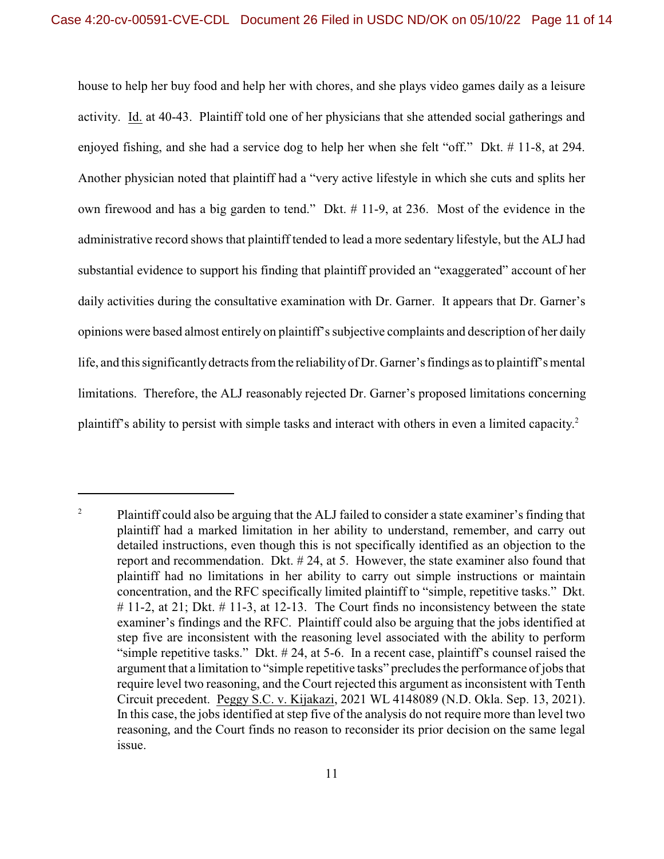house to help her buy food and help her with chores, and she plays video games daily as a leisure activity. Id. at 40-43. Plaintiff told one of her physicians that she attended social gatherings and enjoyed fishing, and she had a service dog to help her when she felt "off." Dkt. # 11-8, at 294. Another physician noted that plaintiff had a "very active lifestyle in which she cuts and splits her own firewood and has a big garden to tend." Dkt. # 11-9, at 236. Most of the evidence in the administrative record shows that plaintiff tended to lead a more sedentary lifestyle, but the ALJ had substantial evidence to support his finding that plaintiff provided an "exaggerated" account of her daily activities during the consultative examination with Dr. Garner. It appears that Dr. Garner's opinions were based almost entirely on plaintiff's subjective complaints and description of her daily life, and this significantly detracts from the reliability of Dr. Garner's findings as to plaintiff's mental limitations. Therefore, the ALJ reasonably rejected Dr. Garner's proposed limitations concerning plaintiff's ability to persist with simple tasks and interact with others in even a limited capacity.<sup>2</sup>

<sup>&</sup>lt;sup>2</sup> Plaintiff could also be arguing that the ALJ failed to consider a state examiner's finding that plaintiff had a marked limitation in her ability to understand, remember, and carry out detailed instructions, even though this is not specifically identified as an objection to the report and recommendation. Dkt. # 24, at 5. However, the state examiner also found that plaintiff had no limitations in her ability to carry out simple instructions or maintain concentration, and the RFC specifically limited plaintiff to "simple, repetitive tasks." Dkt. # 11-2, at 21; Dkt. # 11-3, at 12-13. The Court finds no inconsistency between the state examiner's findings and the RFC. Plaintiff could also be arguing that the jobs identified at step five are inconsistent with the reasoning level associated with the ability to perform "simple repetitive tasks." Dkt. # 24, at 5-6. In a recent case, plaintiff's counsel raised the argument that a limitation to "simple repetitive tasks" precludes the performance of jobs that require level two reasoning, and the Court rejected this argument as inconsistent with Tenth Circuit precedent. Peggy S.C. v. Kijakazi, 2021 WL 4148089 (N.D. Okla. Sep. 13, 2021). In this case, the jobs identified at step five of the analysis do not require more than level two reasoning, and the Court finds no reason to reconsider its prior decision on the same legal issue.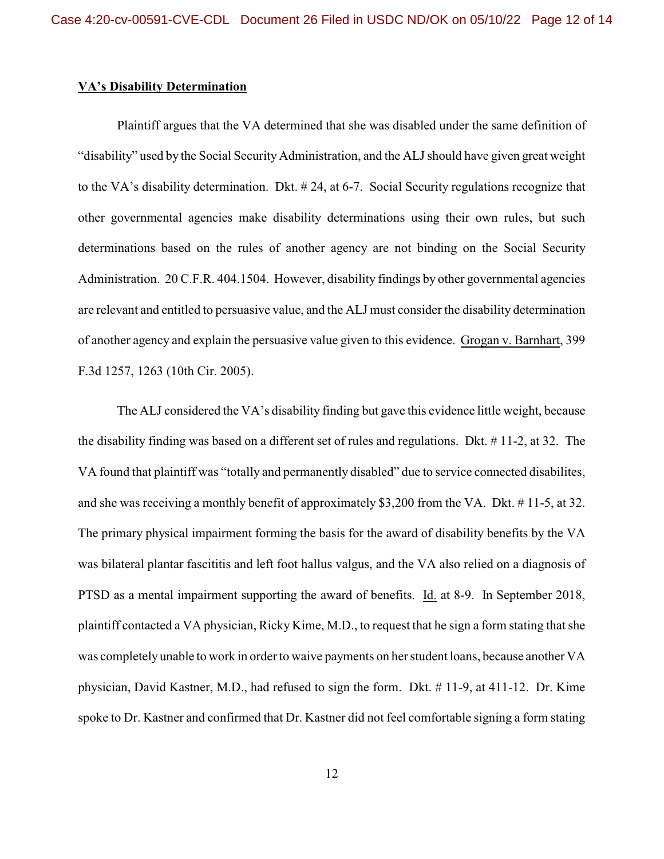## **VA's Disability Determination**

Plaintiff argues that the VA determined that she was disabled under the same definition of "disability" used by the Social Security Administration, and the ALJ should have given great weight to the VA's disability determination. Dkt. # 24, at 6-7. Social Security regulations recognize that other governmental agencies make disability determinations using their own rules, but such determinations based on the rules of another agency are not binding on the Social Security Administration. 20 C.F.R. 404.1504. However, disability findings by other governmental agencies are relevant and entitled to persuasive value, and the ALJ must consider the disability determination of another agency and explain the persuasive value given to this evidence. Grogan v. Barnhart, 399 F.3d 1257, 1263 (10th Cir. 2005).

The ALJ considered the VA's disability finding but gave this evidence little weight, because the disability finding was based on a different set of rules and regulations. Dkt. # 11-2, at 32. The VA found that plaintiff was "totally and permanently disabled" due to service connected disabilites, and she was receiving a monthly benefit of approximately \$3,200 from the VA. Dkt. # 11-5, at 32. The primary physical impairment forming the basis for the award of disability benefits by the VA was bilateral plantar fascititis and left foot hallus valgus, and the VA also relied on a diagnosis of PTSD as a mental impairment supporting the award of benefits. Id. at 8-9. In September 2018, plaintiff contacted a VA physician, Ricky Kime, M.D., to request that he sign a form stating that she was completely unable to work in order to waive payments on her student loans, because another VA physician, David Kastner, M.D., had refused to sign the form. Dkt. # 11-9, at 411-12. Dr. Kime spoke to Dr. Kastner and confirmed that Dr. Kastner did not feel comfortable signing a form stating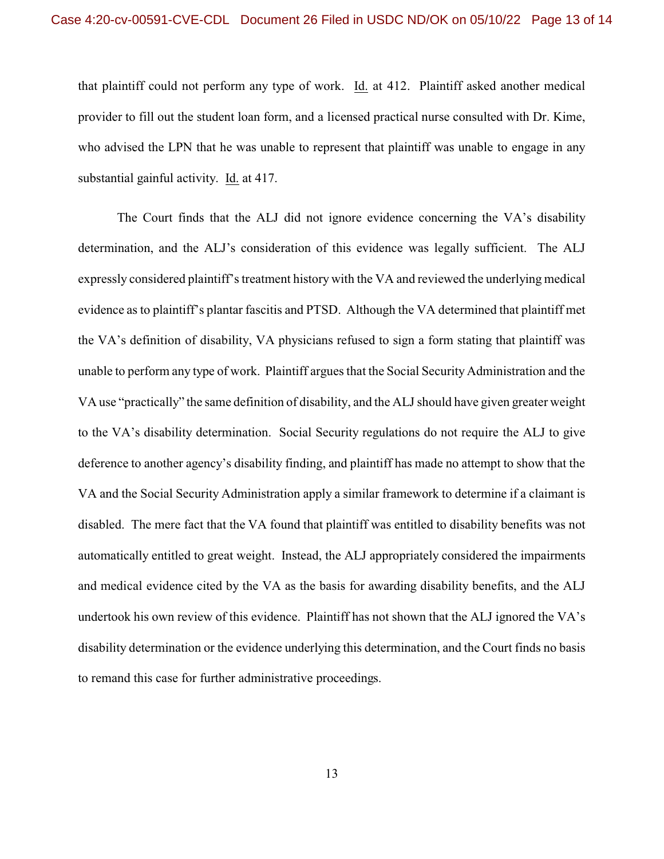that plaintiff could not perform any type of work. Id. at 412. Plaintiff asked another medical provider to fill out the student loan form, and a licensed practical nurse consulted with Dr. Kime, who advised the LPN that he was unable to represent that plaintiff was unable to engage in any substantial gainful activity. Id. at 417.

The Court finds that the ALJ did not ignore evidence concerning the VA's disability determination, and the ALJ's consideration of this evidence was legally sufficient. The ALJ expressly considered plaintiff's treatment history with the VA and reviewed the underlying medical evidence as to plaintiff's plantar fascitis and PTSD. Although the VA determined that plaintiff met the VA's definition of disability, VA physicians refused to sign a form stating that plaintiff was unable to perform any type of work. Plaintiff argues that the Social Security Administration and the VA use "practically" the same definition of disability, and the ALJ should have given greater weight to the VA's disability determination. Social Security regulations do not require the ALJ to give deference to another agency's disability finding, and plaintiff has made no attempt to show that the VA and the Social Security Administration apply a similar framework to determine if a claimant is disabled. The mere fact that the VA found that plaintiff was entitled to disability benefits was not automatically entitled to great weight. Instead, the ALJ appropriately considered the impairments and medical evidence cited by the VA as the basis for awarding disability benefits, and the ALJ undertook his own review of this evidence. Plaintiff has not shown that the ALJ ignored the VA's disability determination or the evidence underlying this determination, and the Court finds no basis to remand this case for further administrative proceedings.